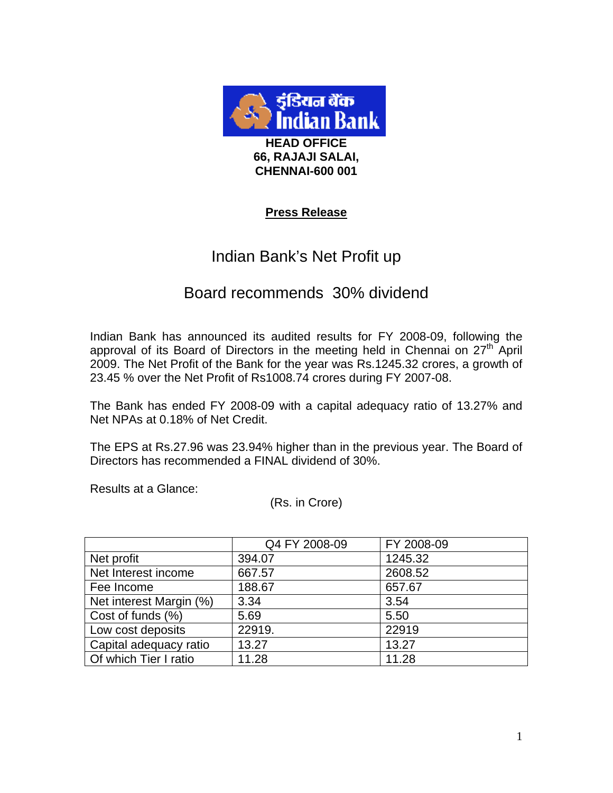

# **Press Release**

# Indian Bank's Net Profit up

# Board recommends 30% dividend

Indian Bank has announced its audited results for FY 2008-09, following the approval of its Board of Directors in the meeting held in Chennai on  $27<sup>th</sup>$  April 2009. The Net Profit of the Bank for the year was Rs.1245.32 crores, a growth of 23.45 % over the Net Profit of Rs1008.74 crores during FY 2007-08.

The Bank has ended FY 2008-09 with a capital adequacy ratio of 13.27% and Net NPAs at 0.18% of Net Credit.

The EPS at Rs.27.96 was 23.94% higher than in the previous year. The Board of Directors has recommended a FINAL dividend of 30%.

Results at a Glance:

(Rs. in Crore)

|                         | Q4 FY 2008-09 | FY 2008-09 |
|-------------------------|---------------|------------|
| Net profit              | 394.07        | 1245.32    |
| Net Interest income     | 667.57        | 2608.52    |
| Fee Income              | 188.67        | 657.67     |
| Net interest Margin (%) | 3.34          | 3.54       |
| Cost of funds (%)       | 5.69          | 5.50       |
| Low cost deposits       | 22919.        | 22919      |
| Capital adequacy ratio  | 13.27         | 13.27      |
| Of which Tier I ratio   | 11.28         | 11.28      |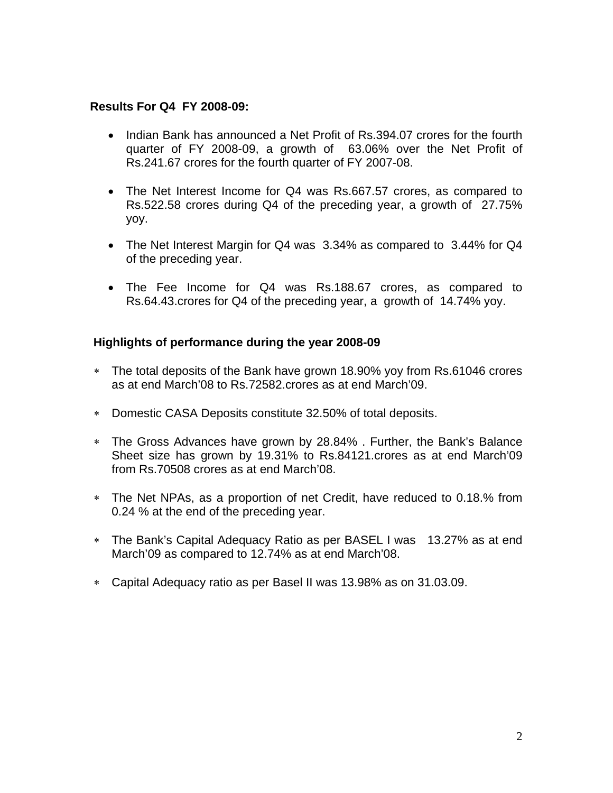## **Results For Q4 FY 2008-09:**

- Indian Bank has announced a Net Profit of Rs.394.07 crores for the fourth quarter of FY 2008-09, a growth of 63.06% over the Net Profit of Rs.241.67 crores for the fourth quarter of FY 2007-08.
- The Net Interest Income for Q4 was Rs.667.57 crores, as compared to Rs.522.58 crores during Q4 of the preceding year, a growth of 27.75% yoy.
- The Net Interest Margin for Q4 was 3.34% as compared to 3.44% for Q4 of the preceding year.
- The Fee Income for Q4 was Rs.188.67 crores, as compared to Rs.64.43.crores for Q4 of the preceding year, a growth of 14.74% yoy.

# **Highlights of performance during the year 2008-09**

- ∗ The total deposits of the Bank have grown 18.90% yoy from Rs.61046 crores as at end March'08 to Rs.72582.crores as at end March'09.
- ∗ Domestic CASA Deposits constitute 32.50% of total deposits.
- ∗ The Gross Advances have grown by 28.84% . Further, the Bank's Balance Sheet size has grown by 19.31% to Rs.84121.crores as at end March'09 from Rs.70508 crores as at end March'08.
- ∗ The Net NPAs, as a proportion of net Credit, have reduced to 0.18.% from 0.24 % at the end of the preceding year.
- ∗ The Bank's Capital Adequacy Ratio as per BASEL I was 13.27% as at end March'09 as compared to 12.74% as at end March'08.
- ∗ Capital Adequacy ratio as per Basel II was 13.98% as on 31.03.09.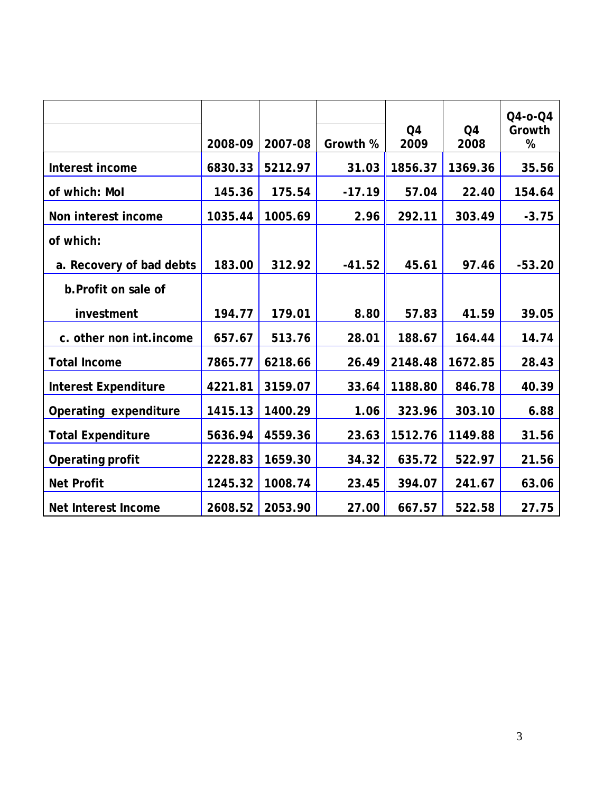|                             | 2008-09 | 2007-08 | Growth % | Q <sub>4</sub><br>2009 | Q <sub>4</sub><br>2008 | $Q4 - 0 - Q4$<br>Growth<br>% |
|-----------------------------|---------|---------|----------|------------------------|------------------------|------------------------------|
| Interest income             | 6830.33 | 5212.97 | 31.03    | 1856.37                | 1369.36                | 35.56                        |
| of which: Mol               | 145.36  | 175.54  | $-17.19$ | 57.04                  | 22.40                  | 154.64                       |
| Non interest income         | 1035.44 | 1005.69 | 2.96     | 292.11                 | 303.49                 | $-3.75$                      |
| of which:                   |         |         |          |                        |                        |                              |
| a. Recovery of bad debts    | 183.00  | 312.92  | $-41.52$ | 45.61                  | 97.46                  | $-53.20$                     |
| b. Profit on sale of        |         |         |          |                        |                        |                              |
| investment                  | 194.77  | 179.01  | 8.80     | 57.83                  | 41.59                  | 39.05                        |
| c. other non int.income     | 657.67  | 513.76  | 28.01    | 188.67                 | 164.44                 | 14.74                        |
| <b>Total Income</b>         | 7865.77 | 6218.66 | 26.49    | 2148.48                | 1672.85                | 28.43                        |
| <b>Interest Expenditure</b> | 4221.81 | 3159.07 | 33.64    | 1188.80                | 846.78                 | 40.39                        |
| Operating expenditure       | 1415.13 | 1400.29 | 1.06     | 323.96                 | 303.10                 | 6.88                         |
| <b>Total Expenditure</b>    | 5636.94 | 4559.36 | 23.63    | 1512.76                | 1149.88                | 31.56                        |
| Operating profit            | 2228.83 | 1659.30 | 34.32    | 635.72                 | 522.97                 | 21.56                        |
| <b>Net Profit</b>           | 1245.32 | 1008.74 | 23.45    | 394.07                 | 241.67                 | 63.06                        |
| Net Interest Income         | 2608.52 | 2053.90 | 27.00    | 667.57                 | 522.58                 | 27.75                        |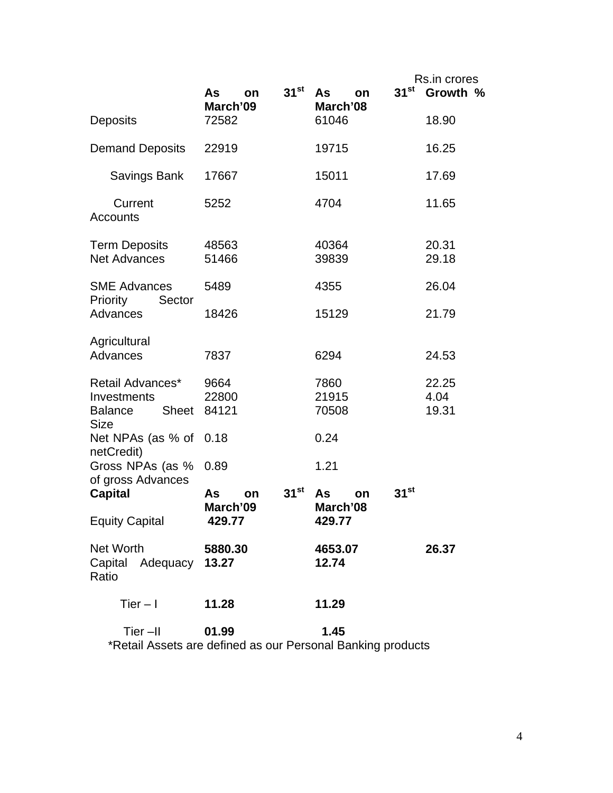|                                                                        |                      |                  |                      | Rs.in crores     |                |
|------------------------------------------------------------------------|----------------------|------------------|----------------------|------------------|----------------|
|                                                                        | As<br>on             | $31^{\rm st}$    | As<br>on             | 31 <sup>st</sup> | Growth %       |
| <b>Deposits</b>                                                        | March'09<br>72582    |                  | March'08<br>61046    |                  | 18.90          |
| <b>Demand Deposits</b>                                                 | 22919                |                  | 19715                |                  | 16.25          |
| Savings Bank                                                           | 17667                |                  | 15011                |                  | 17.69          |
| Current<br>Accounts                                                    | 5252                 |                  | 4704                 |                  | 11.65          |
| <b>Term Deposits</b><br><b>Net Advances</b>                            | 48563<br>51466       |                  | 40364<br>39839       |                  | 20.31<br>29.18 |
| <b>SME Advances</b><br>Priority<br>Sector                              | 5489                 |                  | 4355                 |                  | 26.04          |
| Advances                                                               | 18426                |                  | 15129                |                  | 21.79          |
| Agricultural<br>Advances                                               | 7837                 |                  | 6294                 |                  | 24.53          |
| Retail Advances*                                                       | 9664                 |                  | 7860                 |                  | 22.25          |
| Investments                                                            | 22800                |                  | 21915                |                  | 4.04           |
| <b>Balance</b><br>Sheet<br><b>Size</b>                                 | 84121                |                  | 70508                |                  | 19.31          |
| Net NPAs (as % of<br>netCredit)                                        | 0.18                 |                  | 0.24                 |                  |                |
| Gross NPAs (as %<br>of gross Advances                                  | 0.89                 |                  | 1.21                 |                  |                |
| <b>Capital</b>                                                         | As<br>on<br>March'09 | 31 <sup>st</sup> | As<br>on<br>March'08 | $31^{st}$        |                |
| <b>Equity Capital</b>                                                  | 429.77               |                  | 429.77               |                  |                |
| Net Worth<br>Capital Adequacy 13.27<br>Ratio                           | 5880.30              |                  | 4653.07<br>12.74     |                  | 26.37          |
| $Tier - I$                                                             | 11.28                |                  | 11.29                |                  |                |
| Tier-II<br>*Retail Assets are defined as our Personal Banking products | 01.99                |                  | 1.45                 |                  |                |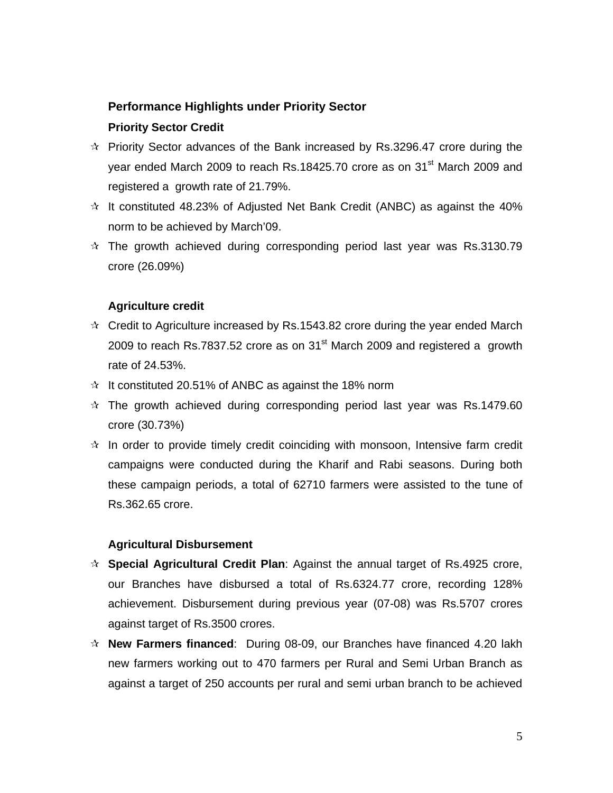# **Performance Highlights under Priority Sector**

## **Priority Sector Credit**

- $\approx$  Priority Sector advances of the Bank increased by Rs.3296.47 crore during the year ended March 2009 to reach Rs.18425.70 crore as on 31<sup>st</sup> March 2009 and registered a growth rate of 21.79%.
- $\dot{\varphi}$  It constituted 48.23% of Adjusted Net Bank Credit (ANBC) as against the 40% norm to be achieved by March'09.
- $\dot{\varphi}$  The growth achieved during corresponding period last year was Rs.3130.79 crore (26.09%)

## **Agriculture credit**

- $\dot{\varphi}$  Credit to Agriculture increased by Rs.1543.82 crore during the year ended March 2009 to reach Rs.7837.52 crore as on  $31<sup>st</sup>$  March 2009 and registered a growth rate of 24.53%.
- $\hat{x}$  It constituted 20.51% of ANBC as against the 18% norm
- $\approx$  The growth achieved during corresponding period last year was Rs.1479.60 crore (30.73%)
- $\dot{\mathbf{x}}$  In order to provide timely credit coinciding with monsoon, Intensive farm credit campaigns were conducted during the Kharif and Rabi seasons. During both these campaign periods, a total of 62710 farmers were assisted to the tune of Rs.362.65 crore.

## **Agricultural Disbursement**

- **Special Agricultural Credit Plan**: Against the annual target of Rs.4925 crore, our Branches have disbursed a total of Rs.6324.77 crore, recording 128% achievement. Disbursement during previous year (07-08) was Rs.5707 crores against target of Rs.3500 crores.
- **New Farmers financed**: During 08-09, our Branches have financed 4.20 lakh new farmers working out to 470 farmers per Rural and Semi Urban Branch as against a target of 250 accounts per rural and semi urban branch to be achieved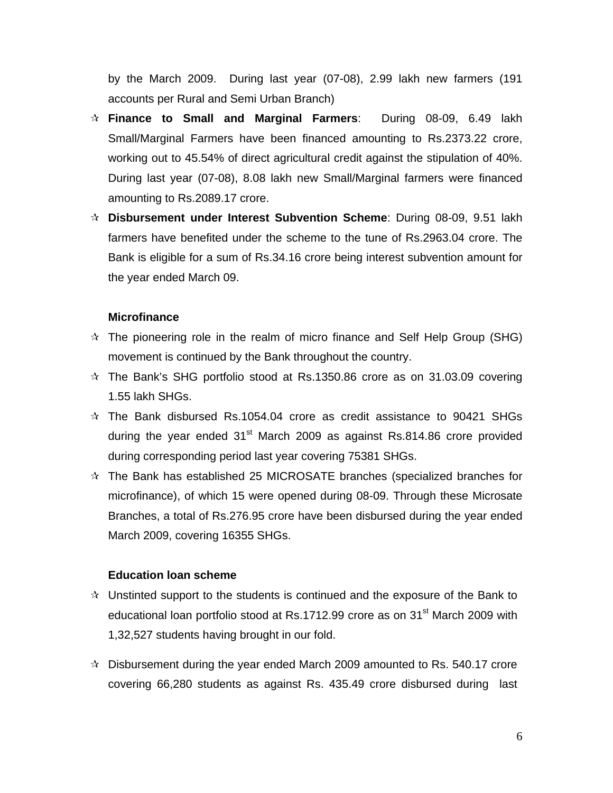by the March 2009. During last year (07-08), 2.99 lakh new farmers (191 accounts per Rural and Semi Urban Branch)

- **Finance to Small and Marginal Farmers**: During 08-09, 6.49 lakh Small/Marginal Farmers have been financed amounting to Rs.2373.22 crore, working out to 45.54% of direct agricultural credit against the stipulation of 40%. During last year (07-08), 8.08 lakh new Small/Marginal farmers were financed amounting to Rs.2089.17 crore.
- **Disbursement under Interest Subvention Scheme**: During 08-09, 9.51 lakh farmers have benefited under the scheme to the tune of Rs.2963.04 crore. The Bank is eligible for a sum of Rs.34.16 crore being interest subvention amount for the year ended March 09.

#### **Microfinance**

- $\dot{\mathbf{x}}$  The pioneering role in the realm of micro finance and Self Help Group (SHG) movement is continued by the Bank throughout the country.
- $\dot{\varphi}$  The Bank's SHG portfolio stood at Rs.1350.86 crore as on 31.03.09 covering 1.55 lakh SHGs.
- $\dot{\varphi}$  The Bank disbursed Rs.1054.04 crore as credit assistance to 90421 SHGs during the year ended  $31<sup>st</sup>$  March 2009 as against Rs.814.86 crore provided during corresponding period last year covering 75381 SHGs.
- $\dot{\varphi}$  The Bank has established 25 MICROSATE branches (specialized branches for microfinance), of which 15 were opened during 08-09. Through these Microsate Branches, a total of Rs.276.95 crore have been disbursed during the year ended March 2009, covering 16355 SHGs.

#### **Education loan scheme**

- $\hat{x}$  Unstinted support to the students is continued and the exposure of the Bank to educational loan portfolio stood at Rs.1712.99 crore as on 31<sup>st</sup> March 2009 with 1,32,527 students having brought in our fold.
- $\approx$  Disbursement during the year ended March 2009 amounted to Rs. 540.17 crore covering 66,280 students as against Rs. 435.49 crore disbursed during last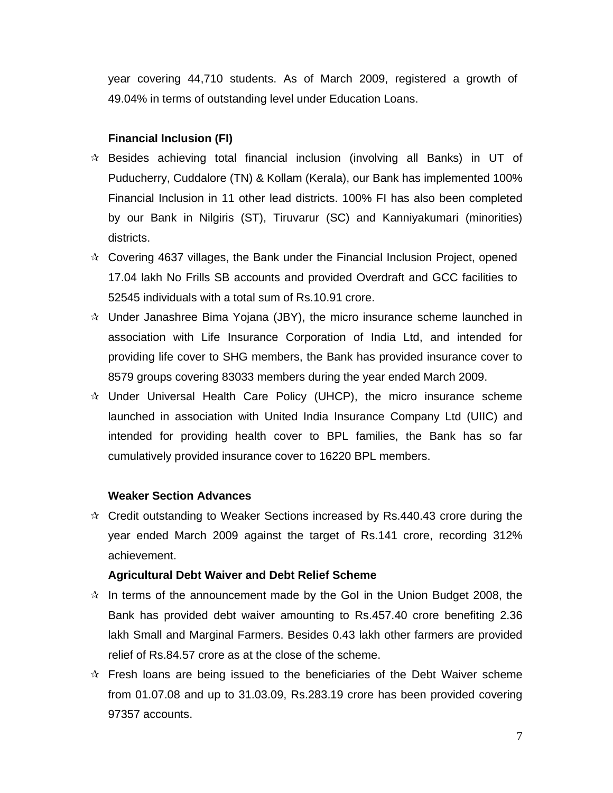year covering 44,710 students. As of March 2009, registered a growth of 49.04% in terms of outstanding level under Education Loans.

#### **Financial Inclusion (FI)**

- $\dot{\mathcal{R}}$  Besides achieving total financial inclusion (involving all Banks) in UT of Puducherry, Cuddalore (TN) & Kollam (Kerala), our Bank has implemented 100% Financial Inclusion in 11 other lead districts. 100% FI has also been completed by our Bank in Nilgiris (ST), Tiruvarur (SC) and Kanniyakumari (minorities) districts.
- $\star$  Covering 4637 villages, the Bank under the Financial Inclusion Project, opened 17.04 lakh No Frills SB accounts and provided Overdraft and GCC facilities to 52545 individuals with a total sum of Rs.10.91 crore.
- $\dot{\mathcal{R}}$  Under Janashree Bima Yojana (JBY), the micro insurance scheme launched in association with Life Insurance Corporation of India Ltd, and intended for providing life cover to SHG members, the Bank has provided insurance cover to 8579 groups covering 83033 members during the year ended March 2009.
- $\dot{\mathbf{r}}$  Under Universal Health Care Policy (UHCP), the micro insurance scheme launched in association with United India Insurance Company Ltd (UIIC) and intended for providing health cover to BPL families, the Bank has so far cumulatively provided insurance cover to 16220 BPL members.

#### **Weaker Section Advances**

 $\approx$  Credit outstanding to Weaker Sections increased by Rs.440.43 crore during the year ended March 2009 against the target of Rs.141 crore, recording 312% achievement.

#### **Agricultural Debt Waiver and Debt Relief Scheme**

- $\dot{\varphi}$  In terms of the announcement made by the GoI in the Union Budget 2008, the Bank has provided debt waiver amounting to Rs.457.40 crore benefiting 2.36 lakh Small and Marginal Farmers. Besides 0.43 lakh other farmers are provided relief of Rs.84.57 crore as at the close of the scheme.
- $\dot{\varphi}$  Fresh loans are being issued to the beneficiaries of the Debt Waiver scheme from 01.07.08 and up to 31.03.09, Rs.283.19 crore has been provided covering 97357 accounts.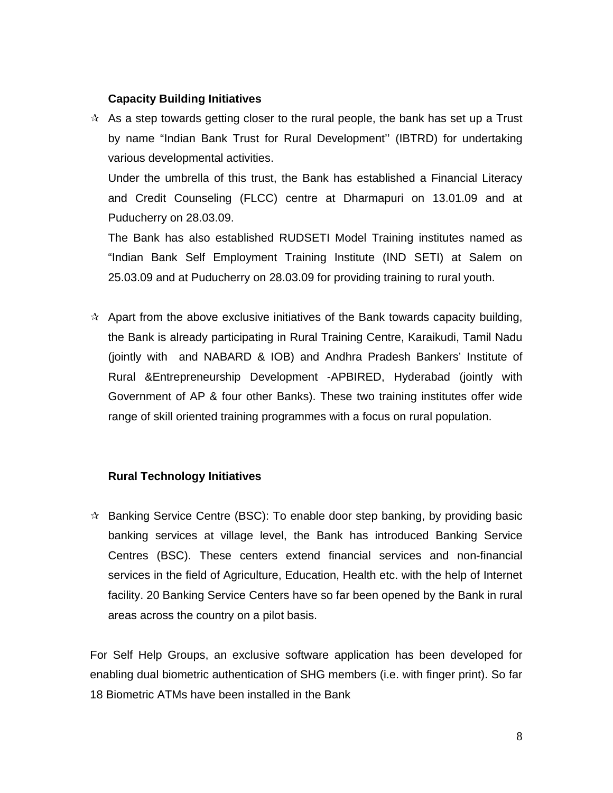#### **Capacity Building Initiatives**

 $\dot{\mathbf{x}}$  As a step towards getting closer to the rural people, the bank has set up a Trust by name "Indian Bank Trust for Rural Development'' (IBTRD) for undertaking various developmental activities.

Under the umbrella of this trust, the Bank has established a Financial Literacy and Credit Counseling (FLCC) centre at Dharmapuri on 13.01.09 and at Puducherry on 28.03.09.

The Bank has also established RUDSETI Model Training institutes named as "Indian Bank Self Employment Training Institute (IND SETI) at Salem on 25.03.09 and at Puducherry on 28.03.09 for providing training to rural youth.

 $\star$  Apart from the above exclusive initiatives of the Bank towards capacity building, the Bank is already participating in Rural Training Centre, Karaikudi, Tamil Nadu (jointly with and NABARD & IOB) and Andhra Pradesh Bankers' Institute of Rural &Entrepreneurship Development -APBIRED, Hyderabad (jointly with Government of AP & four other Banks). These two training institutes offer wide range of skill oriented training programmes with a focus on rural population.

## **Rural Technology Initiatives**

 $\star$  Banking Service Centre (BSC): To enable door step banking, by providing basic banking services at village level, the Bank has introduced Banking Service Centres (BSC). These centers extend financial services and non-financial services in the field of Agriculture, Education, Health etc. with the help of Internet facility. 20 Banking Service Centers have so far been opened by the Bank in rural areas across the country on a pilot basis.

For Self Help Groups, an exclusive software application has been developed for enabling dual biometric authentication of SHG members (i.e. with finger print). So far 18 Biometric ATMs have been installed in the Bank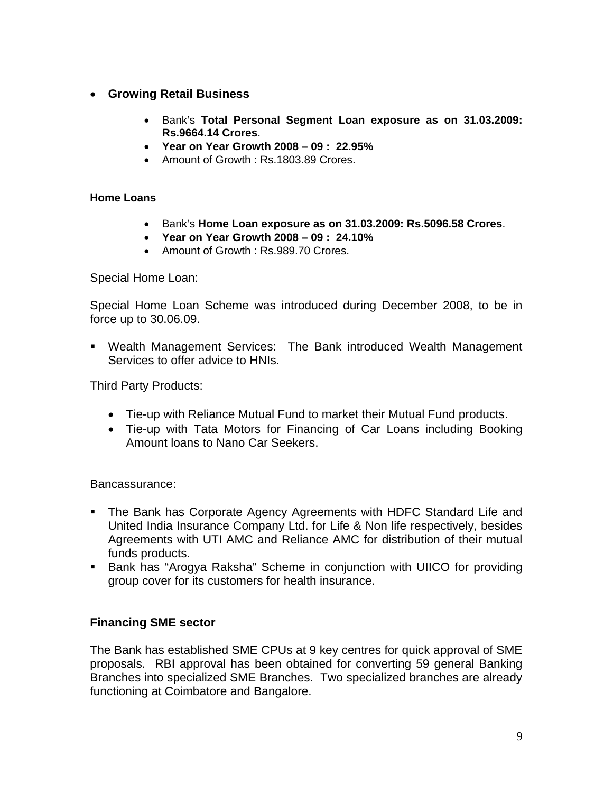# • **Growing Retail Business**

- Bank's **Total Personal Segment Loan exposure as on 31.03.2009: Rs.9664.14 Crores**.
- **Year on Year Growth 2008 09 : 22.95%**
- Amount of Growth : Rs.1803.89 Crores.

## **Home Loans**

- Bank's **Home Loan exposure as on 31.03.2009: Rs.5096.58 Crores**.
- **Year on Year Growth 2008 09 : 24.10%**
- Amount of Growth : Rs.989.70 Crores.

Special Home Loan:

Special Home Loan Scheme was introduced during December 2008, to be in force up to 30.06.09.

 Wealth Management Services: The Bank introduced Wealth Management Services to offer advice to HNIs.

Third Party Products:

- Tie-up with Reliance Mutual Fund to market their Mutual Fund products.
- Tie-up with Tata Motors for Financing of Car Loans including Booking Amount loans to Nano Car Seekers.

# Bancassurance:

- **The Bank has Corporate Agency Agreements with HDFC Standard Life and** United India Insurance Company Ltd. for Life & Non life respectively, besides Agreements with UTI AMC and Reliance AMC for distribution of their mutual funds products.
- Bank has "Arogya Raksha" Scheme in conjunction with UIICO for providing group cover for its customers for health insurance.

# **Financing SME sector**

The Bank has established SME CPUs at 9 key centres for quick approval of SME proposals. RBI approval has been obtained for converting 59 general Banking Branches into specialized SME Branches. Two specialized branches are already functioning at Coimbatore and Bangalore.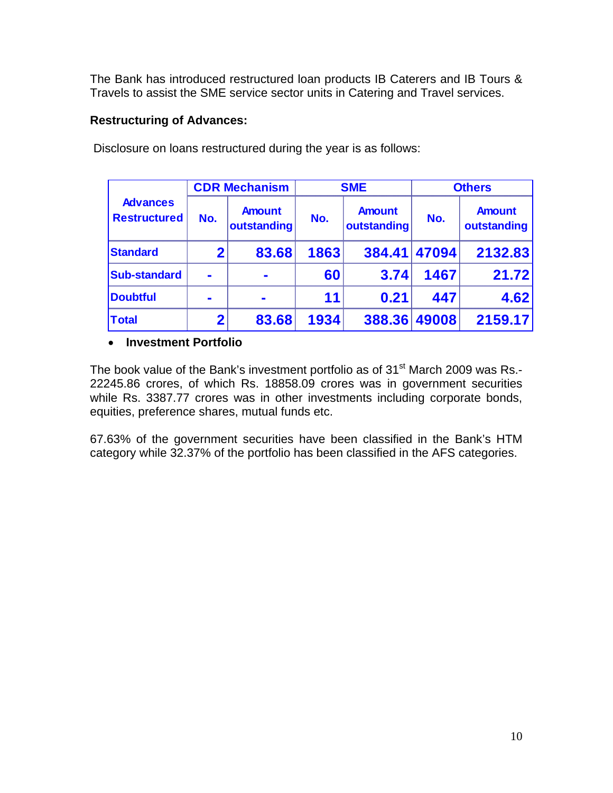The Bank has introduced restructured loan products IB Caterers and IB Tours & Travels to assist the SME service sector units in Catering and Travel services.

# **Restructuring of Advances:**

|                                        |             | <b>CDR Mechanism</b>         |      | <b>SME</b>                   | <b>Others</b> |                              |  |
|----------------------------------------|-------------|------------------------------|------|------------------------------|---------------|------------------------------|--|
| <b>Advances</b><br><b>Restructured</b> | No.         | <b>Amount</b><br>outstanding | No.  | <b>Amount</b><br>outstanding | No.           | <b>Amount</b><br>outstanding |  |
| <b>Standard</b>                        | $\mathbf 2$ | 83.68                        | 1863 | 384.41 47094                 |               | 2132.83                      |  |
| <b>Sub-standard</b>                    |             |                              | 60   | 3.74                         | 1467          | 21.72                        |  |
| <b>Doubtful</b>                        |             | $\blacksquare$               | 11   | 0.21                         | 447           | 4.62                         |  |
| <b>Total</b>                           | $\mathbf 2$ | 83.68                        | 1934 | 388.36                       | 49008         | 2159.17                      |  |

Disclosure on loans restructured during the year is as follows:

# • **Investment Portfolio**

The book value of the Bank's investment portfolio as of 31<sup>st</sup> March 2009 was Rs.-22245.86 crores, of which Rs. 18858.09 crores was in government securities while Rs. 3387.77 crores was in other investments including corporate bonds, equities, preference shares, mutual funds etc.

67.63% of the government securities have been classified in the Bank's HTM category while 32.37% of the portfolio has been classified in the AFS categories.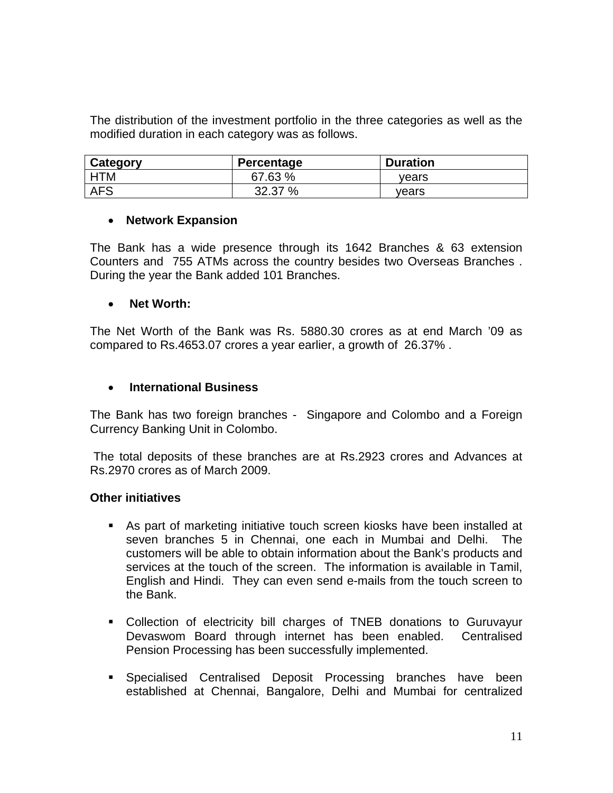The distribution of the investment portfolio in the three categories as well as the modified duration in each category was as follows.

| Category   | Percentage | <b>Duration</b> |
|------------|------------|-----------------|
| HTM        | 67.63 %    | vears           |
| <b>AFS</b> | 32.37 %    | vears           |

#### • **Network Expansion**

The Bank has a wide presence through its 1642 Branches & 63 extension Counters and 755 ATMs across the country besides two Overseas Branches . During the year the Bank added 101 Branches.

### • **Net Worth:**

The Net Worth of the Bank was Rs. 5880.30 crores as at end March '09 as compared to Rs.4653.07 crores a year earlier, a growth of 26.37% .

## • **International Business**

The Bank has two foreign branches - Singapore and Colombo and a Foreign Currency Banking Unit in Colombo.

 The total deposits of these branches are at Rs.2923 crores and Advances at Rs.2970 crores as of March 2009.

#### **Other initiatives**

- As part of marketing initiative touch screen kiosks have been installed at seven branches 5 in Chennai, one each in Mumbai and Delhi. The customers will be able to obtain information about the Bank's products and services at the touch of the screen. The information is available in Tamil, English and Hindi. They can even send e-mails from the touch screen to the Bank.
- Collection of electricity bill charges of TNEB donations to Guruvayur Devaswom Board through internet has been enabled. Centralised Pension Processing has been successfully implemented.
- Specialised Centralised Deposit Processing branches have been established at Chennai, Bangalore, Delhi and Mumbai for centralized